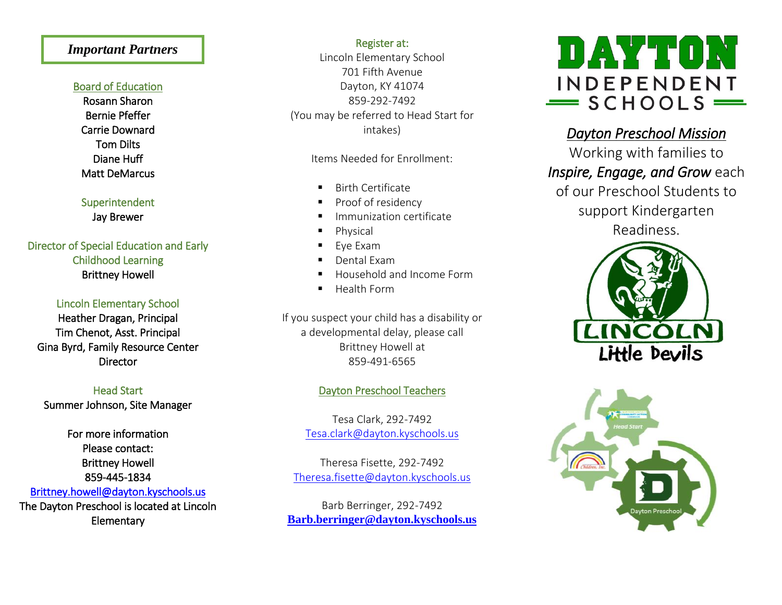## ֚֚֡<br>֚ *Important Partners*

### Board of Education

[Rosann Sharon](http://www.dayton.kyschools.us/Board/Members/2)  [Bernie Pfeffer](http://www.dayton.kyschools.us/Board/Members/3)  [Carrie Downard](http://www.dayton.kyschools.us/Board/Members/5)  [Tom Dilts](http://www.dayton.kyschools.us/Board/Members/1)  [Diane Huff](http://www.dayton.kyschools.us/Board/Members/4)  [Matt DeMarcus](http://www.dayton.kyschools.us/Board/Members/6) 

Superintendent Jay Brewer

# Director of Special Education and Early Childhood Learning Brittney Howell

### Lincoln Elementary School

Heather Dragan, Principal Tim Chenot, Asst. Principal Gina Byrd, Family Resource Center **Director** 

Head Start Summer Johnson, Site Manager

For more information Please contact: Brittney Howell 859-445-1834 [Brittney.howell@dayton.kyschools.us](mailto:Brittney.howell@dayton.kyschools.us)  The Dayton Preschool is located at Lincoln Elementary

Register at:

Lincoln Elementary School 701 Fifth Avenue Dayton, KY 41074 859-292-7492 (You may be referred to Head Start for intakes)

Items Needed for Enrollment:

- Birth Certificate
- Proof of residency
- Immunization certificate
- **Physical**
- Eye Exam
- Dental Exam
- Household and Income Form
- **Health Form**

If you suspect your child has a disability or a developmental delay, please call Brittney Howell at 859-491-6565

## Dayton Preschool Teachers

Tesa Clark, 292-7492 [Tesa.clark@dayton.kyschools.us](mailto:Tesa.clark@dayton.kyschools.us)

Theresa Fisette, 292-7492 [Theresa.fisette@dayton.kyschools.us](mailto:Theresa.fisette@dayton.kyschools.us)

Barb Berringer, 292-7492 **[Barb.berringer@dayton.kyschools.us](mailto:Barb.berringer@dayton.kyschools.us)**



*Dayton Preschool Mission*  Working with families to *Inspire, Engage, and Grow* each of our Preschool Students to

support Kindergarten Readiness.